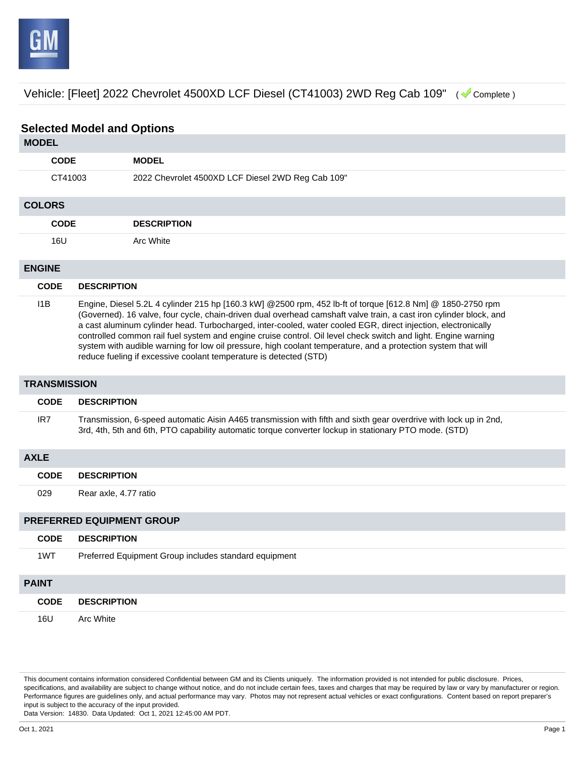

Vehicle: [Fleet] 2022 Chevrolet 4500XD LCF Diesel (CT41003) 2WD Reg Cab 109" ( Complete )

# **Selected Model and Options**

## **MODEL**

|               | <b>CODE</b> | <b>MODEL</b>                                      |  |
|---------------|-------------|---------------------------------------------------|--|
|               | CT41003     | 2022 Chevrolet 4500XD LCF Diesel 2WD Reg Cab 109" |  |
| <b>COLORS</b> |             |                                                   |  |
|               | <b>CODE</b> | <b>DESCRIPTION</b>                                |  |
|               | 16U         | Arc White                                         |  |
| <b>ENGINE</b> |             |                                                   |  |

## **CODE DESCRIPTION** I1B Engine, Diesel 5.2L 4 cylinder 215 hp [160.3 kW] @2500 rpm, 452 lb-ft of torque [612.8 Nm] @ 1850-2750 rpm (Governed). 16 valve, four cycle, chain-driven dual overhead camshaft valve train, a cast iron cylinder block, and a cast aluminum cylinder head. Turbocharged, inter-cooled, water cooled EGR, direct injection, electronically controlled common rail fuel system and engine cruise control. Oil level check switch and light. Engine warning system with audible warning for low oil pressure, high coolant temperature, and a protection system that will reduce fueling if excessive coolant temperature is detected (STD)

#### **TRANSMISSION**

| <b>CODE</b> | <b>DESCRIPTION</b>                                                                                                                                                                                                        |
|-------------|---------------------------------------------------------------------------------------------------------------------------------------------------------------------------------------------------------------------------|
| IR7         | Transmission, 6-speed automatic Aisin A465 transmission with fifth and sixth gear overdrive with lock up in 2nd,<br>3rd, 4th, 5th and 6th, PTO capability automatic torque converter lockup in stationary PTO mode. (STD) |

# **AXLE CODE DESCRIPTION** 029 Rear axle, 4.77 ratio

### **PREFERRED EQUIPMENT GROUP**

| <b>CODE</b>  | <b>DESCRIPTION</b>                                    |
|--------------|-------------------------------------------------------|
| 1WT          | Preferred Equipment Group includes standard equipment |
| <b>PAINT</b> |                                                       |

|     | <b>CODE DESCRIPTION</b> |
|-----|-------------------------|
| 16U | Arc White               |

This document contains information considered Confidential between GM and its Clients uniquely. The information provided is not intended for public disclosure. Prices, specifications, and availability are subject to change without notice, and do not include certain fees, taxes and charges that may be required by law or vary by manufacturer or region. Performance figures are guidelines only, and actual performance may vary. Photos may not represent actual vehicles or exact configurations. Content based on report preparer's input is subject to the accuracy of the input provided.

Data Version: 14830. Data Updated: Oct 1, 2021 12:45:00 AM PDT.